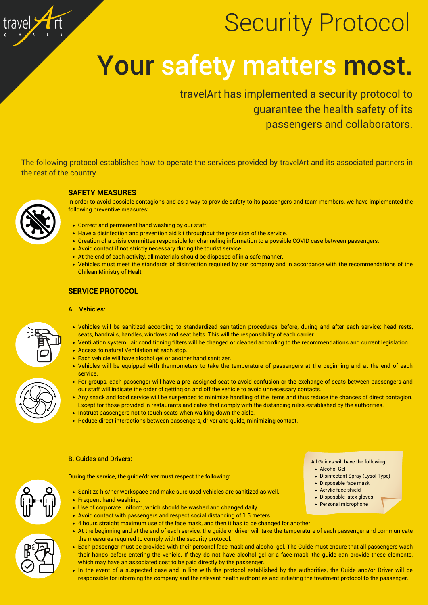- Sanitize his/her workspace and make sure used vehicles are sanitized as well.
- Frequent hand washing.
- Use of corporate uniform, which should be washed and changed daily.
- Avoid contact with passengers and respect social distancing of 1.5 meters.
- 4 hours straight maximum use of the face mask, and then it has to be changed for another.
- At the beginning and at the end of each service, the guide or driver will take the temperature of each passenger and communicate the measures required to comply with the security protocol.
- Each passenger must be provided with their personal face mask and alcohol gel. The Guide must ensure that all passengers wash their hands before entering the vehicle. If they do not have alcohol gel or a face mask, the guide can provide these elements, which may have an associated cost to be paid directly by the passenger.
- In the event of a suspected case and in line with the protocol established by the authorities, the Guide and/or Driver will be responsible for informing the company and the relevant health authorities and initiating the treatment protocol to the passenger.
- Vehicles will be sanitized according to standardized sanitation procedures, before, during and after each service: head rests, seats, handrails, handles, windows and seat belts. This will the responsibility of each carrier.
- Ventilation system: air conditioning filters will be changed or cleaned according to the recommendations and current legislation.
- Access to natural Ventilation at each stop.
- Each vehicle will have alcohol gel or another hand sanitizer.
- Vehicles will be equipped with thermometers to take the temperature of passengers at the beginning and at the end of each service.
- For groups, each passenger will have a pre-assigned seat to avoid confusion or the exchange of seats between passengers and our staff will indicate the order of getting on and off the vehicle to avoid unnecessary contacts.
- Any snack and food service will be suspended to minimize handling of the items and thus reduce the chances of direct contagion. Except for those provided in restaurants and cafes that comply with the distancing rules established by the authorities.
- Instruct passengers not to touch seats when walking down the aisle.
- Reduce direct interactions between passengers, driver and guide, minimizing contact.
- B. Guides and Drivers:

During the service, the guide/driver must respect the following:

- All Guides will have the following:
	- Alcohol Gel
	- Disinfectant Spray (Lysol Type)
	- Disposable face mask
	- Acrylic face shield
- Disposable latex gloves
- Personal microphone





### **SERVICE PROTOCOL**

A. Vehicles:



travelArt has implemented a security protocol to guarantee the health safety of its passengers and collaborators.



## Security Protocol

# Your safety matters most.

The following protocol establishes how to operate the services provided by travelArt and its associated partners in the rest of the country.

- Correct and permanent hand washing by our staff.
- Have a disinfection and prevention aid kit throughout the provision of the service.
- Creation of a crisis committee responsible for channeling information to a possible COVID case between passengers.
- Avoid contact if not strictly necessary during the tourist service.
- At the end of each activity, all materials should be disposed of in a safe manner.
- Vehicles must meet the standards of disinfection required by our company and in accordance with the recommendations of the Chilean Ministry of Health

#### **SAFETY MEASURES**



In order to avoid possible contagions and as a way to provide safety to its passengers and team members, we have implemented the following preventive measures: